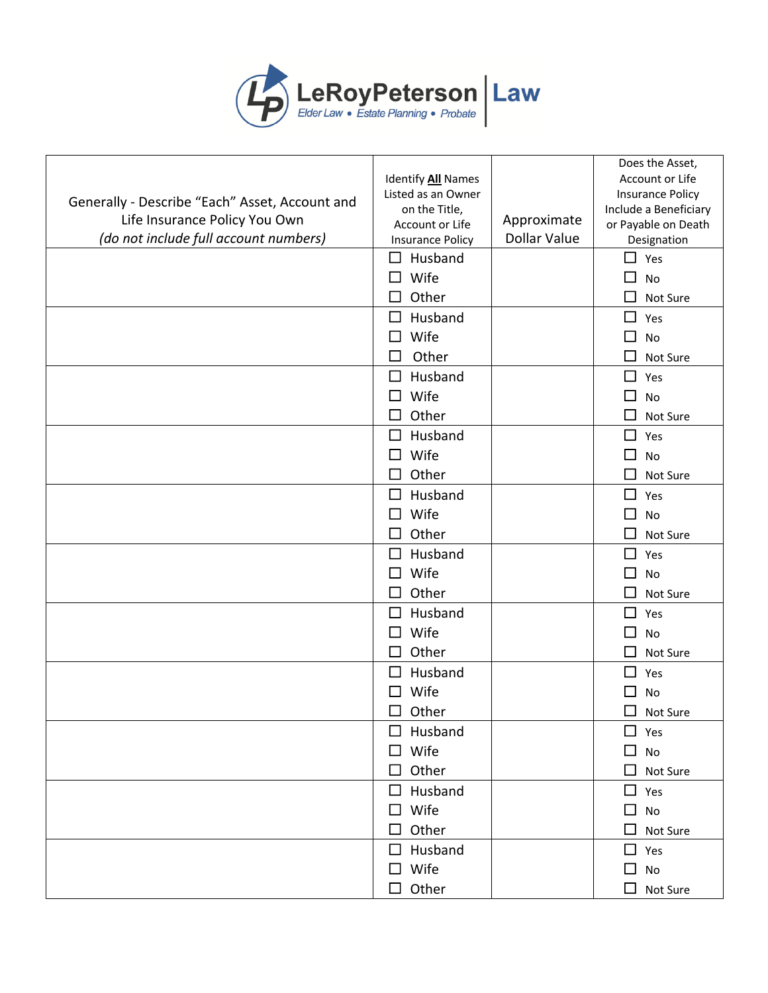

|                                                |                                            |                     | Does the Asset,                    |
|------------------------------------------------|--------------------------------------------|---------------------|------------------------------------|
|                                                | Identify All Names                         |                     | Account or Life                    |
| Generally - Describe "Each" Asset, Account and | Listed as an Owner                         |                     | <b>Insurance Policy</b>            |
| Life Insurance Policy You Own                  | on the Title,                              | Approximate         | Include a Beneficiary              |
| (do not include full account numbers)          | Account or Life<br><b>Insurance Policy</b> | <b>Dollar Value</b> | or Payable on Death<br>Designation |
|                                                | Husband<br>$\perp$                         |                     | $\blacksquare$<br>Yes              |
|                                                | Wife                                       |                     | No                                 |
|                                                | Other                                      |                     | Not Sure                           |
|                                                | Husband<br>$\perp$                         |                     | $\blacksquare$<br>Yes              |
|                                                | Wife<br>□                                  |                     | $\sim$                             |
|                                                | Other<br>П                                 |                     | No                                 |
|                                                |                                            |                     | Not Sure                           |
|                                                | Husband<br>$\perp$                         |                     | $\mathcal{L}_{\mathcal{A}}$<br>Yes |
|                                                | Wife<br>$\perp$                            |                     | No                                 |
|                                                | Other                                      |                     | Not Sure                           |
|                                                | Husband<br>□                               |                     | П<br>Yes                           |
|                                                | Wife<br>ΙI                                 |                     | $\blacksquare$<br><b>No</b>        |
|                                                | Other                                      |                     | Not Sure                           |
|                                                | Husband<br>□                               |                     | $\Box$<br>Yes                      |
|                                                | Wife<br>$\mathsf{L}$                       |                     | $\Box$<br>No                       |
|                                                | Other                                      |                     | Not Sure                           |
|                                                | Husband<br>$\perp$                         |                     | Yes<br>l 1                         |
|                                                | Wife                                       |                     | <b>No</b>                          |
|                                                | Other<br>П                                 |                     | $\blacksquare$<br>Not Sure         |
|                                                | Husband<br>$\Box$                          |                     | П<br>Yes                           |
|                                                | Wife                                       |                     | No                                 |
|                                                | Other                                      |                     | Not Sure                           |
|                                                | Husband<br>$\perp$                         |                     | П<br>Yes                           |
|                                                | Wife                                       |                     | No                                 |
|                                                | Other<br>П                                 |                     | $\sim$<br>Not Sure                 |
|                                                | Husband<br>$\Box$                          |                     | $\Box$ Yes                         |
|                                                | Wife<br>ப                                  |                     | No<br>ப                            |
|                                                | Other                                      |                     | Not Sure                           |
|                                                | $\Box$ Husband                             |                     | $\Box$ Yes                         |
|                                                | $\Box$ Wife                                |                     | $\Box$<br>No                       |
|                                                | Other<br>П                                 |                     | H<br>Not Sure                      |
|                                                | $\Box$ Husband                             |                     | $\Box$ Yes                         |
|                                                | $\square$ Wife                             |                     | No<br>$\mathsf{L}$                 |
|                                                | $\Box$ Other                               |                     | $\Box$<br>Not Sure                 |